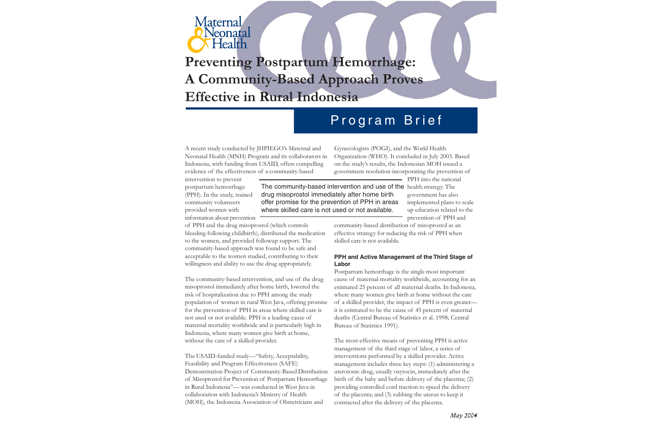

# **Preventing Postpartum Hemorrhage: A Community-Based Approach Proves Effective in Rural Indonesia**

## Program Brief

A recent study conducted by JHPIEGO's Maternal and Neonatal Health (MNH) Program and its collaborators in Indonesia, with funding from USAID, offers compelling evidence of the effectiveness of a community-based

Gynecologists (POGI), and the World Health Organization (WHO). It concluded in July 2003. Based on the study's results, the Indonesian MOH issued a government resolution incorporating the prevention of

intervention to prevent postpartum hemorrhage (PPH). In the study, trained community volunteers provided women with information about prevention

The community-based intervention and use of the health strategy. The drug misoprostol immediately after home birth offer promise for the prevention of PPH in areas where skilled care is not used or not available.

PPH into the national government has also implemented plans to scale up education related to the prevention of PPH and

of PPH and the drug misoprostol (which controls bleeding following childbirth), distributed the medication to the women, and provided followup support. The community-based approach was found to be safe and acceptable to the women studied, contributing to their willingness and ability to use the drug appropriately.

The community-based intervention, and use of the drug misoprostol immediately after home birth, lowered the risk of hospitalization due to PPH among the study population of women in rural West Java, offering promise for the prevention of PPH in areas where skilled care is not used or not available. PPH is a leading cause of maternal mortality worldwide and is particularly high in Indonesia, where many women give birth at home, without the care of a skilled provider.

The USAID-funded study—"Safety, Acceptability, Feasibility and Program Effectiveness (SAFE) Demonstration Project of Community-Based Distribution of Misoprostol for Prevention of Postpartum Hemorrhage in Rural Indonesia"— was conducted in West Java in collaboration with Indonesia's Ministry of Health (MOH), the Indonesia Association of Obstetricians and

community-based distribution of misoprostol as an effective strategy for reducing the risk of PPH when skilled care is not available.

## **PPH and Active Management of the Third Stage of Labor**

Postpartum hemorrhage is the single most important cause of maternal mortality worldwide, accounting for an estimated 25 percent of all maternal deaths. In Indonesia, where many women give birth at home without the care of a skilled provider, the impact of PPH is even greater it is estimated to be the cause of 45 percent of maternal deaths (Central Bureau of Statistics et al. 1998; Central Bureau of Statistics 1991).

The most effective means of preventing PPH is active management of the third stage of labor, a series of interventions performed by a skilled provider. Active management includes three key steps: (1) administering a uterotonic drug, usually oxytocin, immediately after the birth of the baby and before delivery of the placenta; (2) providing controlled cord traction to speed the delivery of the placenta; and (3) rubbing the uterus to keep it contracted after the delivery of the placenta.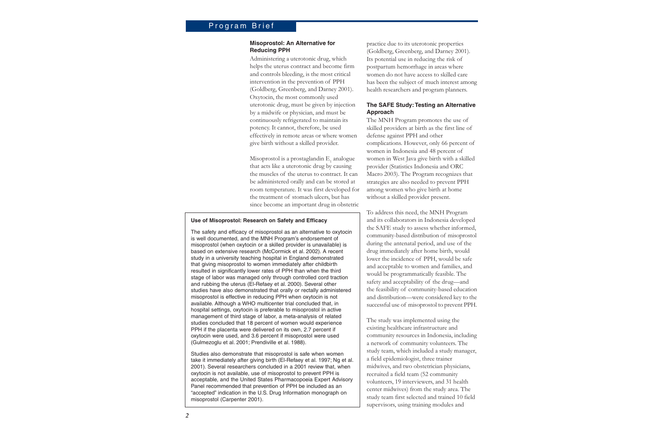## Program Brief

## **Misoprostol: An Alternative for Reducing PPH**

Administering a uterotonic drug, which helps the uterus contract and become firm and controls bleeding, is the most critical intervention in the prevention of PPH (Goldberg, Greenberg, and Darney 2001). Oxytocin, the most commonly used uterotonic drug, must be given by injection by a midwife or physician, and must be continuously refrigerated to maintain its potency. It cannot, therefore, be used effectively in remote areas or where women give birth without a skilled provider.

Misoprostol is a prostaglandin  $\mathrm{E}_\textrm{i}$  analogue that acts like a uterotonic drug by causing the muscles of the uterus to contract. It can be administered orally and can be stored at room temperature. It was first developed for the treatment of stomach ulcers, but has since become an important drug in obstetric

## **Use of Misoprostol: Research on Safety and Efficacy**

The safety and efficacy of misoprostol as an alternative to oxytocin is well documented, and the MNH Program's endorsement of misoprostol (when oxytocin or a skilled provider is unavailable) is based on extensive research (McCormick et al. 2002). A recent study in a university teaching hospital in England demonstrated that giving misoprostol to women immediately after childbirth resulted in significantly lower rates of PPH than when the third stage of labor was managed only through controlled cord traction and rubbing the uterus (El-Refaey et al. 2000). Several other studies have also demonstrated that orally or rectally administered misoprostol is effective in reducing PPH when oxytocin is not available. Although a WHO multicenter trial concluded that, in hospital settings, oxytocin is preferable to misoprostol in active management of third stage of labor, a meta-analysis of related studies concluded that 18 percent of women would experience PPH if the placenta were delivered on its own, 2.7 percent if oxytocin were used, and 3.6 percent if misoprostol were used (Gulmezoglu et al. 2001; Prendiville et al. 1988).

Studies also demonstrate that misoprostol is safe when women take it immediately after giving birth (El-Refaey et al. 1997; Ng et al. 2001). Several researchers concluded in a 2001 review that, when oxytocin is not available, use of misoprostol to prevent PPH is acceptable, and the United States Pharmacopoeia Expert Advisory Panel recommended that prevention of PPH be included as an "accepted" indication in the U.S. Drug Information monograph on misoprostol (Carpenter 2001).

practice due to its uterotonic properties (Goldberg, Greenberg, and Darney 2001). Its potential use in reducing the risk of postpartum hemorrhage in areas where women do not have access to skilled care has been the subject of much interest among health researchers and program planners.

## **The SAFE Study: Testing an Alternative Approach**

The MNH Program promotes the use of skilled providers at birth as the first line of defense against PPH and other complications. However, only 66 percent of women in Indonesia and 48 percent of women in West Java give birth with a skilled provider (Statistics Indonesia and ORC Macro 2003). The Program recognizes that strategies are also needed to prevent PPH among women who give birth at home without a skilled provider present.

To address this need, the MNH Program and its collaborators in Indonesia developed the SAFE study to assess whether informed, community-based distribution of misoprostol during the antenatal period, and use of the drug immediately after home birth, would lower the incidence of PPH, would be safe and acceptable to women and families, and would be programmatically feasible. The safety and acceptability of the drug—and the feasibility of community-based education and distribution—were considered key to the successful use of misoprostol to prevent PPH.

The study was implemented using the existing healthcare infrastructure and community resources in Indonesia, including a network of community volunteers. The study team, which included a study manager, a field epidemiologist, three trainer midwives, and two obstetrician physicians, recruited a field team (52 community volunteers, 19 interviewers, and 31 health center midwives) from the study area. The study team first selected and trained 10 field supervisors, using training modules and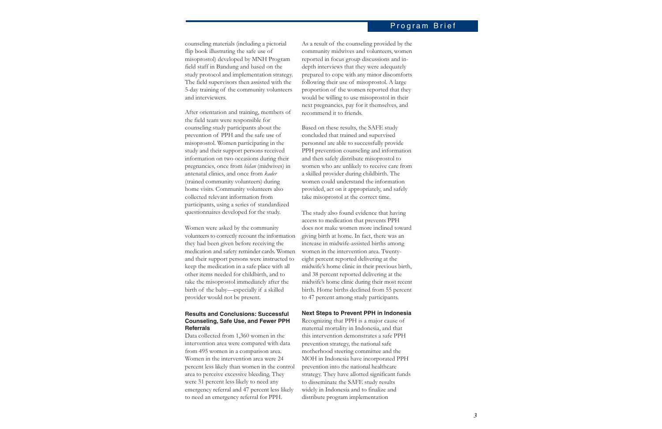## Program Brief

counseling materials (including a pictorial flip book illustrating the safe use of misoprostol) developed by MNH Program field staff in Bandung and based on the study protocol and implementation strategy. The field supervisors then assisted with the 5-day training of the community volunteers and interviewers.

After orientation and training, members of the field team were responsible for counseling study participants about the prevention of PPH and the safe use of misoprostol. Women participating in the study and their support persons received information on two occasions during their pregnancies, once from *bidan* (midwives) in antenatal clinics, and once from *kader* (trained community volunteers) during home visits. Community volunteers also collected relevant information from participants, using a series of standardized questionnaires developed for the study.

Women were asked by the community volunteers to correctly recount the information they had been given before receiving the medication and safety reminder cards. Women and their support persons were instructed to keep the medication in a safe place with all other items needed for childbirth, and to take the misoprostol immediately after the birth of the baby—especially if a skilled provider would not be present.

## **Results and Conclusions: Successful Counseling, Safe Use, and Fewer PPH Referrals**

Data collected from 1,360 women in the intervention area were compared with data from 495 women in a comparison area. Women in the intervention area were 24 percent less likely than women in the control area to perceive excessive bleeding. They were 31 percent less likely to need any emergency referral and 47 percent less likely to need an emergency referral for PPH.

As a result of the counseling provided by the community midwives and volunteers, women reported in focus group discussions and indepth interviews that they were adequately prepared to cope with any minor discomforts following their use of misoprostol. A large proportion of the women reported that they would be willing to use misoprostol in their next pregnancies, pay for it themselves, and recommend it to friends.

Based on these results, the SAFE study concluded that trained and supervised personnel are able to successfully provide PPH prevention counseling and information and then safely distribute misoprostol to women who are unlikely to receive care from a skilled provider during childbirth. The women could understand the information provided, act on it appropriately, and safely take misoprostol at the correct time.

The study also found evidence that having access to medication that prevents PPH does not make women more inclined toward giving birth at home. In fact, there was an increase in midwife-assisted births among women in the intervention area. Twentyeight percent reported delivering at the midwife's home clinic in their previous birth, and 38 percent reported delivering at the midwife's home clinic during their most recent birth. Home births declined from 55 percent to 47 percent among study participants.

#### **Next Steps to Prevent PPH in Indonesia**

Recognizing that PPH is a major cause of maternal mortality in Indonesia, and that this intervention demonstrates a safe PPH prevention strategy, the national safe motherhood steering committee and the MOH in Indonesia have incorporated PPH prevention into the national healthcare strategy. They have allotted significant funds to disseminate the SAFE study results widely in Indonesia and to finalize and distribute program implementation